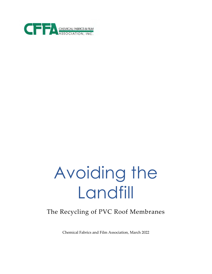

# Avoiding the Landfill

# The Recycling of PVC Roof Membranes

Chemical Fabrics and Film Association, March 2022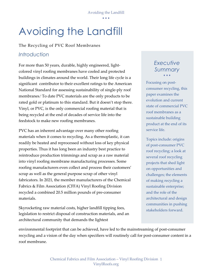Avoiding the Landfill

• • •

# Avoiding the Landfill

### The Recycling of PVC Roof Membranes

# *Introduction*

For more than 50 years, durable, highly engineered, lightcolored vinyl roofing membranes have cooled and protected buildings in climates around the world. Their long life cycle is a significant contributor to their excellent ratings to the American National Standard for assessing sustainability of single-ply roof membranes.i To date PVC materials are the only products to be rated gold or platinum to this standard. But it doesn't stop there. Vinyl, or PVC, is the only commercial roofing material that is being recycled at the end of decades of service life into the feedstock to make new roofing membranes.

PVC has an inherent advantage over many other roofing materials when it comes to recycling. As a thermoplastic, it can readily be heated and reprocessed without loss of key physical properties. Thus it has long been an industry best practice to reintroduce production trimmings and scrap as a raw material into vinyl roofing membrane manufacturing processes. Some roofing manufacturers even collect and process their customers' scrap as well as the general purpose scrap of other vinyl fabricators. In 2021, the member manufacturers of the Chemical Fabrics & Film Association (CFFA) Vinyl Roofing Division recycled a combined 20.5 million pounds of pre-consumer materials.

Skyrocketing raw material costs, higher landfill tipping fees, legislation to restrict disposal of construction materials, and an architectural community that demands the lightest

## *Executive Summary* • • •

Focusing on postconsumer recycling, this paper examines the evolution and current state of commercial PVC roof membranes as a sustainable building product at the end of its service life.

Topics include: origins of post-consumer PVC roof recycling; a look at several roof recycling projects that shed light on opportunities and challenges; the elements of making recycling a sustainable enterprise; and the role of the architectural and design communities in pushing stakeholders forward.

environmental footprint that can be achieved, have led to the mainstreaming of post-consumer recycling and a vision of the day when specifiers will routinely call for post-consumer content in a roof membrane.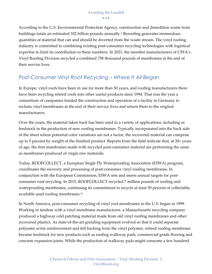#### Avoiding the Landfill • • •

According to the U.S. Environmental Protection Agency, construction and demolition waste from buildings totals an estimated 332 billion pounds annually.<sup>ii</sup> Reroofing generates tremendous quantities of material that can and should be diverted from the waste stream. The vinyl roofing industry is committed to combining existing post-consumer recycling technologies with logistical expertise to limit its contribution to these numbers. In 2021, the member manufacturers of CFFA's Vinyl Roofing Division recycled a combined 758 thousand pounds of membranes at the end of their service lives.

# *Post-Consumer Vinyl Roof Recycling – Where It All Began*

In Europe, vinyl roofs have been in use for more than 50 years, and roofing manufacturers there have been recycling retired roofs into other useful products since 1994. That was the year a consortium of companies funded the construction and operation of a facility in Germany to reclaim vinyl membranes at the end of their service lives and return them to the original manufacturers.

Over the years, the material taken back has been used in a variety of applications, including as feedstock in the production of new roofing membranes. Typically incorporated into the back side of the sheet where potential color variations are not a factor, the recovered material can comprise up to 5 percent by weight of the finished product. Reports from the field indicate that, at 20+ years of age, the first membranes made with recycled post-consumer material are performing the same as membranes produced of virgin raw materials.

Today, ROOFCOLLECT, a European Single Ply Waterproofing Association (ESWA) program, coordinates the recovery and processing of post-consumer vinyl roofing membranes. In conjunction with the European Commission, ESWA sets and meets annual targets for postconsumer roof recycling. In 2015, ROOFCOLLECT recycled 7 million pounds of roofing and waterproofing membranes, continuing its commitment to recycle at least 50 percent of collectable, available used roofing membranes.iii

In North America, post-consumer recycling of vinyl roof membranes in the U.S. began in 1999. Working in tandem with a vinyl membrane manufacturer, a Massachusetts recycling company produced a highway cold patching material made from old vinyl roofing membranes and other recovered plastics. As state-of-the-art grinding equipment evolved so that it could separate polyester scrim reinforcement and felt backing from the vinyl polymer, retired roofing membrane became feedstock for new products such as roofing walkway pads, commercial-grade flooring and concrete expansion joints. While the production of walkway pads might consume a few hundred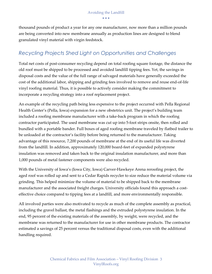thousand pounds of product a year for any one manufacturer, now more than a million pounds are being converted into new membrane annually as production lines are designed to blend granulated vinyl material with virgin feedstock.

# *Recycling Projects Shed Light on Opportunities and Challenges*

Total net costs of post-consumer recycling depend on total roofing square footage, the distance the old roof must be shipped to be processed and avoided landfill tipping fees. Yet, the savings in disposal costs and the value of the full range of salvaged materials have generally exceeded the cost of the additional labor, shipping and grinding fees involved to remove and reuse end-of-life vinyl roofing material. Thus, it is possible to actively consider making the commitment to incorporate a recycling strategy into a roof replacement project.

An example of the recycling path being less expensive to the project occurred with Pella Regional Health Center's (Pella, Iowa) expansion for a new obstetrics unit. The project's building team included a roofing membrane manufacturer with a take-back program in which the roofing contractor participated. The used membrane was cut up into 5-foot strips onsite, then rolled and bundled with a portable bander. Full boxes of aged roofing membrane traveled by flatbed trailer to be unloaded at the contractor's facility before being returned to the manufacturer. Taking advantage of this resource, 7,200 pounds of membrane at the end of its useful life was diverted from the landfill. In addition, approximately 120,000 board-feet of expanded polystyrene insulation was removed and taken back to the original insulation manufacturer, and more than 1,000 pounds of metal fastener components were also recycled.

With the University of Iowa's (Iowa City, Iowa) Carver-Hawkeye Arena reroofing project, the aged roof was rolled up and sent to a Cedar Rapids recycler to size reduce the material volume via grinding. This helped minimize the volume of material to be shipped back to the membrane manufacturer and the associated freight charges. University officials found this approach a costeffective choice compared to tipping fees at a landfill, and more environmentally responsible.

All involved parties were also motivated to recycle as much of the complete assembly as practical, including the gravel ballast, the metal flashings and the extruded polystyrene insulation. In the end, 95 percent of the existing materials of the assembly, by weight, were recycled, and the membrane was returned to the manufacturer for use in other membrane products. The contractor estimated a savings of 25 percent versus the traditional disposal costs, even with the additional handling required.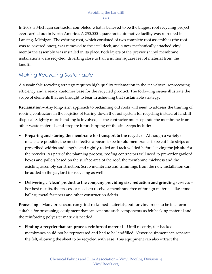In 2008, a Michigan contractor completed what is believed to be the biggest roof recycling project ever carried out in North America. A 250,000 square foot automotive facility was re-roofed in Lansing, Michigan. The existing roof, which consisted of two complete roof assemblies (the roof was re-covered once), was removed to the steel deck, and a new mechanically attached vinyl membrane assembly was installed in its place. Both layers of the previous vinyl membrane installations were recycled, diverting close to half a million square feet of material from the landfill.

# *Making Recycling Sustainable*

A sustainable recycling strategy requires high quality reclamation in the tear-down, reprocessing efficiency and a ready customer base for the recycled product. The following issues illustrate the scope of elements that are brought to bear in achieving that sustainable strategy.

**Reclamation** – Any long-term approach to reclaiming old roofs will need to address the training of roofing contractors in the logistics of tearing down the roof system for recycling instead of landfill disposal. Slightly more handling is involved, as the contractor must separate the membrane from other waste materials and prepare it for shipping off the site. Steps include:

- **Preparing and storing the membrane for transport to the recycler** Although a variety of means are possible, the most effective appears to be for old membranes to be cut into strips of prescribed widths and lengths and tightly rolled and tack welded before leaving the job site for the recycler. As part of the planning process, roofing contractors will need to pre-order gaylord boxes and pallets based on the surface area of the roof, the membrane thickness and the existing assembly construction. Scrap membrane and trimmings from the new installation can be added to the gaylord for recycling as well.
- **Delivering a 'clean' product to the company providing size reduction and grinding services**  For best results, the processor needs to receive a membrane free of foreign materials like stone ballast, metal fasteners and other construction debris.

**Processing** – Many processors can grind reclaimed materials, but for vinyl roofs to be in a form suitable for processing, equipment that can separate such components as felt backing material and the reinforcing polyester matrix is needed.

• **Finding a recycler that can process reinforced material** – Until recently, felt-backed membranes could not be reprocessed and had to be landfilled. Newer equipment can separate the felt, allowing the sheet to be recycled with ease. This equipment can also extract the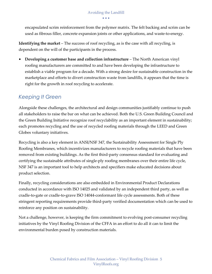• • •

encapsulated scrim reinforcement from the polymer matrix. The felt backing and scrim can be used as fibrous filler, concrete expansion joints or other applications, and waste-to-energy.

**Identifying the market** – The success of roof recycling, as is the case with all recycling, is dependent on the will of the participants in the process.

• **Developing a customer base and collection infrastructure** – The North American vinyl roofing manufacturers are committed to and have been developing the infrastructure to establish a viable program for a decade. With a strong desire for sustainable construction in the marketplace and efforts to divert construction waste from landfills, it appears that the time is right for the growth in roof recycling to accelerate.

# *Keeping It Green*

Alongside these challenges, the architectural and design communities justifiably continue to push all stakeholders to raise the bar on what can be achieved. Both the U.S. Green Building Council and the Green Building Initiative recognize roof recyclability as an important element in sustainability; each promotes recycling and the use of recycled roofing materials through the LEED and Green Globes voluntary initiatives.

Recycling is also a key element in ANSI/NSF 347, the Sustainability Assessment for Single Ply Roofing Membranes, which incentivizes manufacturers to recycle roofing materials that have been removed from existing buildings. As the first third-party consensus standard for evaluating and certifying the sustainable attributes of single-ply roofing membranes over their entire life cycle, NSF 347 is an important tool to help architects and specifiers make educated decisions about product selection.

Finally, recycling considerations are also embedded in Environmental Product Declarations conducted in accordance with ISO 14025 and validated by an independent third party, as well as cradle-to-gate or cradle-to-grave ISO 14044-conformant life cycle assessments. Both of these stringent reporting requirements provide third-party verified documentation which can be used to reinforce any position on sustainability.

Not a challenge, however, is keeping the firm commitment to evolving post-consumer recycling initiatives by the Vinyl Roofing Division of the CFFA in an effort to do all it can to limit the environmental burden posed by construction materials.